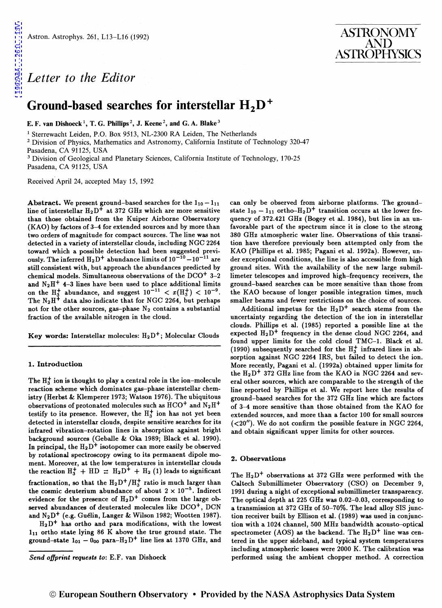## *Letter to the Editor*

# **Ground-based searches for interstellar H 2D** +

E. F. van Dishoeck<sup>1</sup>, T. G. Phillips<sup>2</sup>, J. Keene<sup>2</sup>, and G. A. Blake<sup>3</sup>

<sup>1</sup> Sterrewacht Leiden, P.O. Box 9513, NL-2300 RA Leiden, The Netherlands<br><sup>2</sup> Division of Physics, Mathematics and Astronomy, California Institute of Technology 320-47

Pasadena, CA 91125, USA<br><sup>3</sup> Division of Geological and Planetary Sciences, California Institute of Technology, 170-25 Pasadena, CA 91125, USA

Received April 24, accepted May 15, 1992

Abstract. We present ground-based searches for the  $1_{10} - 1_{11}$ line of interstellar  $H_2D^+$  at 372 GHz which are more sensitive than those obtained from the Kuiper Airborne Observatory (KAO) by factors of 3-4 for extended sources and by more than two orders of magnitude for compact sources. The line was not detected in a variety of interstellar clouds, including NGC 2264 toward which a possible detection had been suggested previously. The inferred  $H_2D^+$  abundance limits of  $10^{-10} - 10^{-11}$  are still consistent with, but approach the abundances predicted by chemical models. Simultaneous observations of the  $DCO<sup>+</sup>$  3-2 and  $N_2H^+$  4-3 lines have been used to place additional limits on the  $H_3^+$  abundance, and suggest  $10^{-11} < x(H_3^+) < 10^{-9}$ . The  $N_2H^{\ddagger}$  data also indicate that for NGC 2264, but perhaps not for the other sources, gas-phase  $N_2$  contains a substantial fraction of the available nitrogen in the cloud.

Key words: Interstellar molecules:  $H_2D^+$ ; Molecular Clouds

#### 1. Introduction

The  $H_3^+$  ion is thought to play a central role in the ion-molecule reaction scheme which dominates gas-phase interstellar chemistry (Herbst & Klemperer 1973; Watson 1976). The ubiquitous observations of protonated molecules such as  $HCO<sup>+</sup>$  and  $N_2H<sup>+</sup>$ testify to its presence. However, the  $H_3^+$  ion has not yet been detected in interstellar clouds, despite sensitive searches for its infrared vibration-rotation lines in absorption against bright background sources (Geballe & Oka 1989; Black et al. 1990). In principal, the  $H_2D^+$  isotopomer can more easily be observed by rotational spectroscopy owing to its permanent dipole moment. Moreover, at the low temperatures in interstellar clouds the reaction  $H_3^+ + HD \nightharpoonup H_2D^+ + H_2$  (1) leads to significant fractionation, so that the  $H_2D^+/H_3^+$  ratio is much larger than the cosmic deuterium abundance of about  $2 \times 10^{-5}$ . Indirect evidence for the presence of  $H_2D^+$  comes from the large observed abundances of deuterated molecules like  $DCO<sup>+</sup>$ , DCN and N<sub>2</sub>D<sup>+</sup> (e.g. Guélin, Langer & Wilson 1982; Wootten 1987).

 $H_2D^+$  has ortho and para modifications, with the lowest 111 ortho state lying 86 K above the true ground state. The ground-state  $1_{01} - 0_{00}$  para- $H_2D^+$  line lies at 1370 GHz, and can only be observed from airborne platforms. The groundstate  $1_{10} - 1_{11}$  ortho-H<sub>2</sub>D<sup>+</sup> transition occurs at the lower frequency of 372.421 GHz (Bogey et al. 1984), but lies in an unfavorable part of the spectrum since it is close to the strong 380 GHz atmospheric water line. Observations of this transition have therefore previously been attempted only from the KAO (Phillips et al. 1985; Pagani et al. 1992a). However, under exceptional conditions, the line is also accessible from high ground sites. With the availability of the new large submillimeter telescopes and improved high-frequency receivers, the ground-based searches can be more sensitive than those from the KAO because of longer possible integration times, much smaller beams and fewer restrictions on the choice of sources.

ASTRONOMY AND ASTROPHYSICS

Additional impetus for the  $H_2D^+$  search stems from the uncertainty regarding the detection of the ion in interstellar clouds. Phillips et al. (1985) reported a possible line at the expected  $H_2D^+$  frequency in the dense cloud NGC 2264, and found upper limits for the cold cloud TMC-1. Black et al. (1990) subsequently searched for the  $H_3^+$  infrared lines in absorption against NGC 2264 IRS, but failed to detect the ion. More recently, Pagani et al. (1992a) obtained upper limits for the  $H_2D^+$  372 GHz line from the KAO in NGC 2264 and several other sources, which are comparable to the strength of the line reported by Phillips et al. We report here the results of ground-based searches for the 372 GHz line which are factors of 3-4 more sensitive than those obtained from the KAO for extended sources, and more than a factor 100 for small sources  $( $20''$ ). We do not confirm the possible feature in NGC 2264,$ and obtain significant upper limits for other sources.

#### 2. Observations

The  $H_2D^+$  observations at 372 GHz were performed with the Caltech Submillimeter Observatory (CSO) on December 9, 1991 during a night of exceptional submillimeter transparency. The optical depth at 225 GHz was 0.02-0.03, corresponding to a transmission at 372 GHz of 50-70%. The lead alloy SIS junction receiver built by Ellison et al. (1989) was used in conjunction with a 1024 channel, 500 MHz bandwidth acousto-optical spectrometer (AOS) as the backend. The  $H_2D^+$  line was centered in the upper sideband, and typical system temperatures including atmospheric losses were 2000 K. The calibration was performed using the ambient chopper method. A correction

*Send offprint requests* to: E.F. van Dishoeck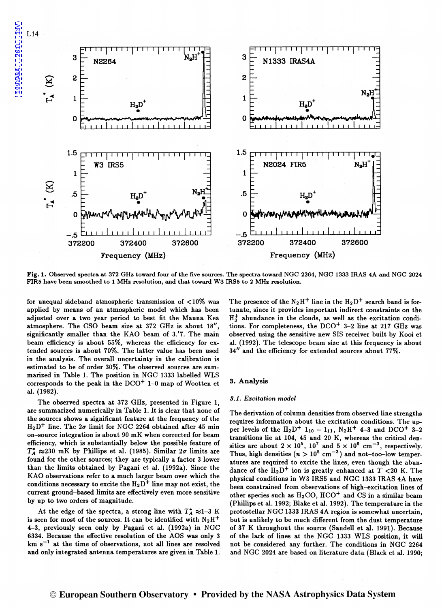

Fig. 1. Observed spectra at 372 GHz toward four of the five sources. The spectra toward NGC 2264, NGC 1333 IRAS 4A and NGC 2024 FIRS have been smoothed to 1 MHz resolution, and that toward W3 IRSS to 2 MHz resolution.

for unequal sideband atmospheric transmission of <10% was applied by means of an atmospheric model which has been adjusted over a two year period to best fit the Mauna Kea atmosphere. The CSO beam size at  $372$  GHz is about  $18''$ , significantly smaller than the KAO beam of 3.'7. The main beam efficiency is about 55%, whereas the efficiency for extended sources is about 70%. The latter value has been used in the analysis. The overall uncertainty in the calibration is estimated to be of order 30%. The observed sources are summarized in Table 1. The position in NGC 1333 labelled WLS corresponds to the peak in the  $DCO<sup>+</sup> 1-0$  map of Wootten et al. (1982).

The observed spectra. at 372 GHz, presented in Figure 1, are summarized numerically in Table 1. It is clear that none of the sources shows a. significant feature at the frequency of the  $H_2D^+$  line. The  $2\sigma$  limit for NGC 2264 obtained after 45 min on-source integration is about 90 mK when corrected for beam efficiency, which is substantially below the possible feature of  $T_A^* \approx 230$  mK by Phillips et al. (1985). Similar  $2\sigma$  limits are found for the other sources; they are typically a factor 3 lower than the limits obtained by Pagani et al. (1992a). Since the KAO observations refer to a much larger beam over which the conditions necessary to excite the  $H_2D^+$  line may not exist, the current ground-based limits are effectively even more sensitive by up to two orders of magnitude.

At the edge of the spectra, a strong line with  $T_A^* \approx 1-3$  *K* is seen for most of the sources. It can be identified with  $N_2H^+$ 4-3, previously seen only by Pagani et al. (1992a) in NGC 6334. Because the effective resolution of the AOS was only 3  $km s<sup>-1</sup>$  at the time of observations, not all lines are resolved and only integrated antenna temperatures are given in Table 1.

The presence of the  $N_2H^+$  line in the  $H_2D^+$  search band is fortunate, since it provides important indirect constraints on the  $H_3^+$  abundance in the clouds, as well as the excitation conditions. For completeness, the  $DCO<sup>+</sup>$  3-2 line at 217 GHz was observed using the sensitive new SIS receiver built by Kooi et al. (1992). The telescope beam size at this frequency is about *3411* and the efficiency for extended sources about 77%.

### 3. Analysis

### *3.1. Excitation model*

The derivation of column densities from observed line strengths requires information about the excitation conditions. The upper levels of the  $H_2D^+$  1<sub>10</sub> - 1<sub>11</sub>,  $N_2H^+$  4-3 and DCO<sup>+</sup> 3-2 transitions lie at 104, 45 and 20 K, whereas the critical densities are about  $2 \times 10^5$ ,  $10^7$  and  $5 \times 10^6$  cm<sup>-3</sup>, respectively. Thus, high densities  $(n > 10^5 \text{ cm}^{-3})$  and not-too-low temperatures are required to excite the lines, even though the abundance of the  $H_2D^+$  ion is greatly enhanced at  $T < 20$  K. The physical conditions in W3 IRS5 and NGC 1333 IRAS 4A have been constrained from observations of high-excitation lines of other species such as  $H_2CO$ ,  $HCO<sup>+</sup>$  and CS in a similar beam (Phillips et al. 1992; Blake et al. 1992). The temperature in the protostellar NGC 1333 IRAS 4A region is somewhat uncertain, but is unlikely to be much different from the dust temperature of 37 *K* throughout the source (Sandell et al. 1991). Because of the lack of lines at the NGC 1333 WLS position, it will not be considered any further. The conditions in NGC 2264 and NGC 2024 are based on literature data (Black et al. 1990;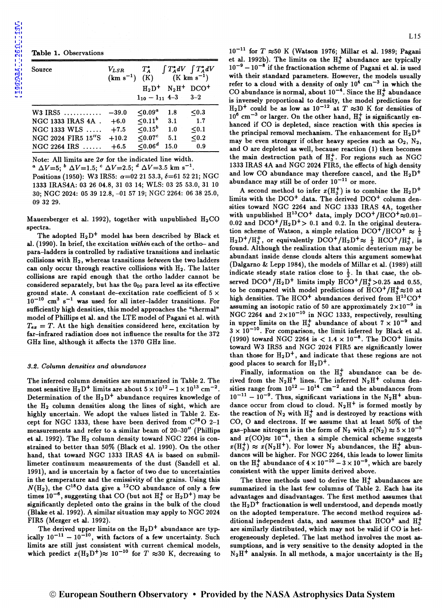1992A&A...261L..13V [1992A&A...261L..13V](http://adsabs.harvard.edu/abs/1992A%26A...261L..13V)

Table 1. Observations

| Source                    | $V_{LSR}$<br>$(km s^{-1}) (K)$ | $1_{10} - 1_{11}$ 4-3 | $(K \text{ km s}^{-1})$<br>$H_2D^+$ N <sub>2</sub> H <sup>+</sup> DCO <sup>+</sup> | $T_A^*$ $\int T_A^* dV$ $\int T_A^* dV$<br>$3 - 2$ |
|---------------------------|--------------------------------|-----------------------|------------------------------------------------------------------------------------|----------------------------------------------------|
| $W3$ IRS5                 | $-39.0$                        | < 0.09 <sup>a</sup>   | 1.8                                                                                | $0.3$                                              |
| NGC 1333 IRAS 4A.         | $+6.0$                         | $\leq 0.11^b$         | 3.1                                                                                | 1.7                                                |
| $NGC$ 1333 WLS $\ldots$   | $+7.5$                         | $< 0.15^b$            | 1.0                                                                                | $0.1$                                              |
| <b>NGC 2024 FIR5 15"S</b> | $+10.2$                        | $< 0.07$ <sup>c</sup> | 5.1                                                                                | $0.2$                                              |
| $NGC 2264$ IRS            | $+6.5$                         | < 0.06 <sup>d</sup>   | 15.0                                                                               | 0.9                                                |

Note: All limits are  $2\sigma$  for the indicated line width.

<sup>a</sup>  $\Delta V=5$ ; <sup>*b*</sup>  $\Delta V=1.5$ ; <sup>*c*</sup>  $\Delta V=2.5$ ; <sup>*d*</sup>  $\Delta V=3.5$  km s<sup>-1</sup>.

Positions (1950): W3 IRS5:  $\alpha=02$  21 53.3,  $\delta=61$  52 21; NGC 1333 IRAS4A: 03 26 04.8, 31 03 14; WLS: 03 25 53.0, 31 10 30; NGC 2024: 05 39 12.8, -01 57 19; NGC 2264: 06 38 25.0, 09 32 29.

Mauersberger et al. 1992), together with unpublished  $H_2CO$ spectra.

The adopted  $H_2D^+$  model has been described by Black et al. (1990). In brief, the excitation *within* each of the ortho- and para-ladders is controlled by radiative transitions and inelastic collisions with H2, whereas transitions *between* the two ladders can only occur through reactive collisions with H2. The latter collisions are rapid enough that the ortho ladder cannot be considered separately, but has the Ooo para level as its effective ground state. A constant de-excitation rate coefficient of  $5 \times$  $10^{-10}$  cm<sup>3</sup> s<sup>-1</sup> was used for all inter-ladder transitions. For sufficiently high densities, this model approaches the "thermal" model of Phillips et al. and the LTE model of Pagani et al. with  $T_{ex} = T$ . At the high densities considered here, excitation by far-infrared radiation does not influence the results for the 372 GHz line, although it affects the 1370 GHz line.

## *9.2. Column densities and abundances*

The inferred column densities are summarized in Table 2. The most sensitive  $H_2D^+$  limits are about  $5 \times 10^{12} - 1 \times 10^{13}$  cm<sup>-2</sup>. Determination of the  $H_2D^+$  abundance requires knowledge of the H2 column densities along the lines of sight, which are highly uncertain. We adopt the values listed in Table 2. Except for NGC 1333, these have been derived from  $C^{18}O$  2-1 measurements and refer to a similar beam of 20-30" (Phillips et al. 1992). The  $H_2$  column density toward NGC 2264 is constrained to better than 50% (Black et al. 1990). On the other hand, that toward NGC 1333 IRAS 4A is based on submillimeter continuum measurements of the dust (Sandell et al. 1991), and is uncertain by a factor of two due to uncertainties in the temperature and the emissivity of the grains. Using this  $N(\text{H}_2)$ , the C<sup>18</sup>O data give a <sup>12</sup>CO abundance of only a few times  $10^{-6}$ , suggesting that CO (but not  $H_3^+$  or  $H_2D^+$ ) may be significantly depleted onto the grains in the bulk of the cloud (Blake et al. 1992). A similar situation may apply to NGC 2024 FIRS (Mezger et al. 1992).

The derived upper limits on the  $H_2D^+$  abundance are typically  $10^{-11} - 10^{-10}$ , with factors of a few uncertainty. Such limits are still just consistent with current chemical models, which predict  $x(\text{H}_2\text{D}^+) \approx 10^{-10}$  for  $T \approx 30$  K, decreasing to  $10^{-11}$  for  $T \approx 50$  K (Watson 1976; Millar et al. 1989; Pagani et al. 1992b). The limits on the  $H_3^+$  abundance are typically  $10^{-9} - 10^{-8}$  if the fractionation scheme of Pagani et al. is used with their standard parameters. However, the models usually refer to a cloud with a density of only  $10^4$  cm<sup>-3</sup> in which the CO abundance is normal, about  $10^{-4}$ . Since the  $H_3^+$  abundance is inversely proportional to density, the model predictions for  $H_2D^+$  could be as low as  $10^{-12}$  at  $T \approx 30$  K for densities of  $10^6$  cm<sup>-3</sup> or larger. On the other hand,  $H_3^+$  is significantly enhanced if CO is depleted, since reaction with this species is the principal removal mechanism. The enhancement for  $H_2D^+$ may be even stronger if other heavy species such as  $O_2$ ,  $N_2$ , and 0 are depleted as well, because reaction (1) then becomes the main destruction path of  $H_3^+$ . For regions such as NGC 1333 IRAS 4A and NGC 2024 FIRS, the effects of high density and low CO abundance may therefore cancel, and the  $H_2D^+$ abundance may still be of order  $10^{-11}$  or more.

A second method to infer  $x(H_3^+)$  is to combine the  $H_2D^+$ limits with the  $DCO<sup>+</sup>$  data. The derived  $DCO<sup>+</sup>$  column densities toward NGC 2264 and NGC 1333 IRAS 4A, together with unpublished  $H^{13}CO^{+}$  data, imply  $DCO^{+}/HCO^{+}\approx 0.01-$ 0.02 and  $DCO^+/H_2D^+>0.1$  and 0.2. In the original deuteration scheme of Watson, a simple relation DCO<sup>+</sup>/HCO<sup>+</sup>  $\approx \frac{1}{3}$  $H_2D^+/H_3^+$ , or equivalently  $DCO^+/H_2D^+ \approx \frac{1}{3}$  HCO<sup>+</sup>/H<sub>3</sub><sup>+</sup>, is found. Although the realization that atomic deuterium may be abundant inside dense clouds alters this argument somewhat (Dalgarno & Lepp 1984), the models of Millar et al. (1989) still indicate steady state ratios close to  $\frac{1}{3}$ . In that case, the observed  $DCO^+/H_2D^+$  limits imply  $HCO^+/H_2^+>0.25$  and 0.55, to be compared with model predictions of  $HCO^{+}/H_{3}^{+}\approx10$  at high densities. The  $HCO<sup>+</sup>$  abundances derived from  $H<sup>13</sup>CO<sup>+</sup>$ assuming an isotopic ratio of 50 are approximately  $2 \times 10^{-9}$  in NGC 2264 and  $2\times10^{-10}$  in NGC 1333, respectively, resulting in upper limits on the  $H_3^+$  abundance of about  $7 \times 10^{-9}$  and  $3 \times 10^{-10}$ . For comparison, the limit inferred by Black et al. (1990) toward NGC 2264 is  $< 1.4 \times 10^{-8}$ . The DCO<sup>+</sup> limits toward W3 IRS5 and NGC 2024 FIRS are significantly lower than those for  $H_2D^+$ , and indicate that these regions are not good places to search for  $H_2D^+$ .

Finally, information on the  $H_3^+$  abundance can be derived from the  $N_2H^+$  lines. The inferred  $N_2H^+$  column densities range from  $10^{12} - 10^{14}$  cm<sup>-2</sup> and the abundances from  $10^{-11} - 10^{-9}$ . Thus, significant variations in the N<sub>2</sub>H<sup>+</sup> abundance occur from cloud to cloud.  $N_2H^+$  is formed mostly by the reaction of  $N_2$  with  $H_3^+$  and is destroyed by reactions with CO, 0 and electrons. If we assume that at least 50% of the gas-phase nitrogen is in the form of  $N_2$  with  $x(N_2) \approx 5 \times 10^{-5}$ and  $x({\rm CO}) \approx 10^{-4}$ , then a simple chemical scheme suggests  $x(H_3^+) \approx x(N_2H^+)$ . For lower  $N_2$  abundances, the  $H_3^+$  abundances will be higher. For NGC 2264, this leads to lower limits on the H<sub>3</sub><sup>+</sup> abundance of  $4 \times 10^{-10} - 3 \times 10^{-9}$ , which are barely consistent with the upper limits derived above.

The three methods used to derive the  $H_3^+$  abundances are summarized in the last few columns of Table 2. Each has its advantages and disadvantages. The first method assumes that the  $H_2D^+$  fractionation is well understood, and depends mostly on the adopted temperature. The second method requires additional independent data, and assumes that  $HCO<sup>+</sup>$  and  $H<sub>3</sub><sup>+</sup>$ are similarly distributed, which may not be valid if CO is heterogeneously depleted. The last method involves the most assumptions, and is very sensitive to the density adopted in the  $N_2H^+$  analysis. In all methods, a major uncertainty is the  $H_2$